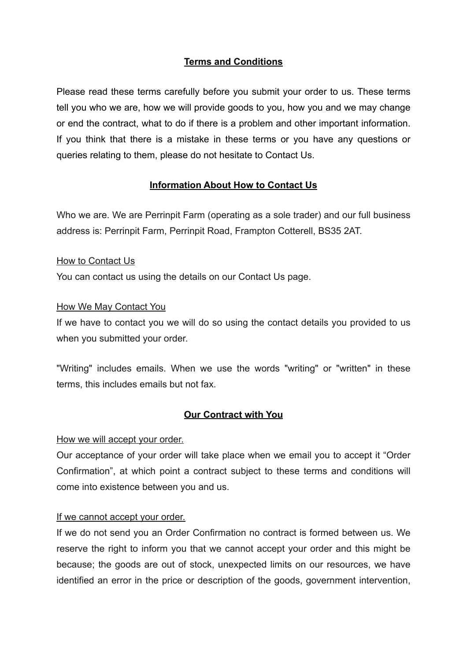# **Terms and Conditions**

Please read these terms carefully before you submit your order to us. These terms tell you who we are, how we will provide goods to you, how you and we may change or end the contract, what to do if there is a problem and other important information. If you think that there is a mistake in these terms or you have any questions or queries relating to them, please do not hesitate to Contact Us.

# **Information About How to Contact Us**

Who we are. We are Perrinpit Farm (operating as a sole trader) and our full business address is: Perrinpit Farm, Perrinpit Road, Frampton Cotterell, BS35 2AT.

### How to Contact Us

You can contact us using the details on our Contact Us page.

### How We May Contact You

If we have to contact you we will do so using the contact details you provided to us when you submitted your order.

"Writing" includes emails. When we use the words "writing" or "written" in these terms, this includes emails but not fax.

#### **Our Contract with You**

#### How we will accept your order.

Our acceptance of your order will take place when we email you to accept it "Order Confirmation", at which point a contract subject to these terms and conditions will come into existence between you and us.

## If we cannot accept your order.

If we do not send you an Order Confirmation no contract is formed between us. We reserve the right to inform you that we cannot accept your order and this might be because; the goods are out of stock, unexpected limits on our resources, we have identified an error in the price or description of the goods, government intervention,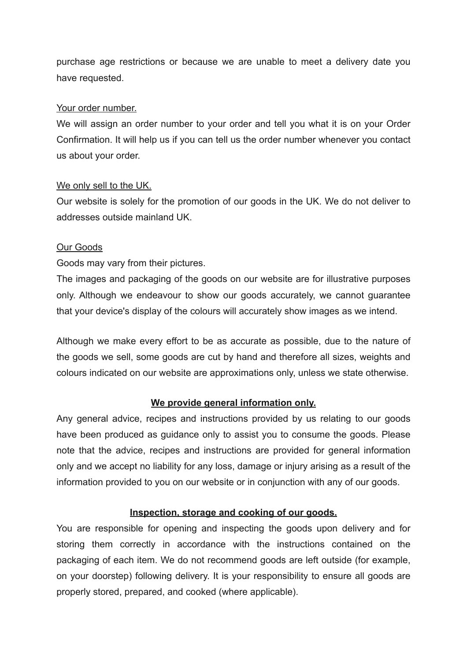purchase age restrictions or because we are unable to meet a delivery date you have requested.

### Your order number.

We will assign an order number to your order and tell you what it is on your Order Confirmation. It will help us if you can tell us the order number whenever you contact us about your order.

## We only sell to the UK.

Our website is solely for the promotion of our goods in the UK. We do not deliver to addresses outside mainland UK.

### Our Goods

Goods may vary from their pictures.

The images and packaging of the goods on our website are for illustrative purposes only. Although we endeavour to show our goods accurately, we cannot guarantee that your device's display of the colours will accurately show images as we intend.

Although we make every effort to be as accurate as possible, due to the nature of the goods we sell, some goods are cut by hand and therefore all sizes, weights and colours indicated on our website are approximations only, unless we state otherwise.

## **We provide general information only.**

Any general advice, recipes and instructions provided by us relating to our goods have been produced as guidance only to assist you to consume the goods. Please note that the advice, recipes and instructions are provided for general information only and we accept no liability for any loss, damage or injury arising as a result of the information provided to you on our website or in conjunction with any of our goods.

## **Inspection, storage and cooking of our goods.**

You are responsible for opening and inspecting the goods upon delivery and for storing them correctly in accordance with the instructions contained on the packaging of each item. We do not recommend goods are left outside (for example, on your doorstep) following delivery. It is your responsibility to ensure all goods are properly stored, prepared, and cooked (where applicable).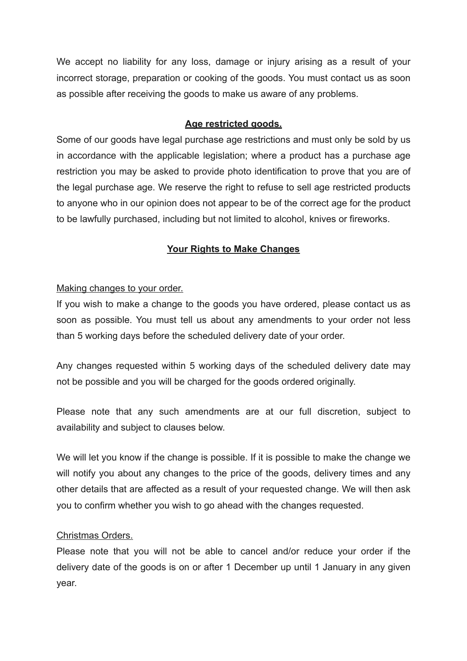We accept no liability for any loss, damage or injury arising as a result of your incorrect storage, preparation or cooking of the goods. You must contact us as soon as possible after receiving the goods to make us aware of any problems.

## **Age restricted goods.**

Some of our goods have legal purchase age restrictions and must only be sold by us in accordance with the applicable legislation; where a product has a purchase age restriction you may be asked to provide photo identification to prove that you are of the legal purchase age. We reserve the right to refuse to sell age restricted products to anyone who in our opinion does not appear to be of the correct age for the product to be lawfully purchased, including but not limited to alcohol, knives or fireworks.

# **Your Rights to Make Changes**

## Making changes to your order.

If you wish to make a change to the goods you have ordered, please contact us as soon as possible. You must tell us about any amendments to your order not less than 5 working days before the scheduled delivery date of your order.

Any changes requested within 5 working days of the scheduled delivery date may not be possible and you will be charged for the goods ordered originally.

Please note that any such amendments are at our full discretion, subject to availability and subject to clauses below.

We will let you know if the change is possible. If it is possible to make the change we will notify you about any changes to the price of the goods, delivery times and any other details that are affected as a result of your requested change. We will then ask you to confirm whether you wish to go ahead with the changes requested.

## Christmas Orders.

Please note that you will not be able to cancel and/or reduce your order if the delivery date of the goods is on or after 1 December up until 1 January in any given year.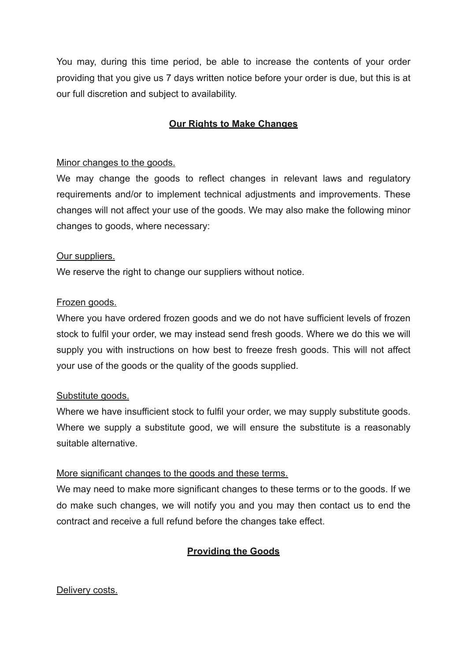You may, during this time period, be able to increase the contents of your order providing that you give us 7 days written notice before your order is due, but this is at our full discretion and subject to availability.

# **Our Rights to Make Changes**

### Minor changes to the goods.

We may change the goods to reflect changes in relevant laws and regulatory requirements and/or to implement technical adjustments and improvements. These changes will not affect your use of the goods. We may also make the following minor changes to goods, where necessary:

#### Our suppliers.

We reserve the right to change our suppliers without notice.

### Frozen goods.

Where you have ordered frozen goods and we do not have sufficient levels of frozen stock to fulfil your order, we may instead send fresh goods. Where we do this we will supply you with instructions on how best to freeze fresh goods. This will not affect your use of the goods or the quality of the goods supplied.

#### Substitute goods.

Where we have insufficient stock to fulfil your order, we may supply substitute goods. Where we supply a substitute good, we will ensure the substitute is a reasonably suitable alternative.

#### More significant changes to the goods and these terms.

We may need to make more significant changes to these terms or to the goods. If we do make such changes, we will notify you and you may then contact us to end the contract and receive a full refund before the changes take effect.

## **Providing the Goods**

#### Delivery costs.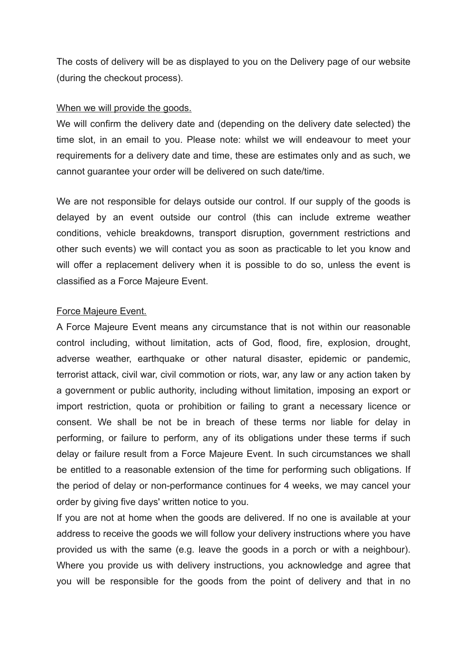The costs of delivery will be as displayed to you on the Delivery page of our website (during the checkout process).

#### When we will provide the goods.

We will confirm the delivery date and (depending on the delivery date selected) the time slot, in an email to you. Please note: whilst we will endeavour to meet your requirements for a delivery date and time, these are estimates only and as such, we cannot guarantee your order will be delivered on such date/time.

We are not responsible for delays outside our control. If our supply of the goods is delayed by an event outside our control (this can include extreme weather conditions, vehicle breakdowns, transport disruption, government restrictions and other such events) we will contact you as soon as practicable to let you know and will offer a replacement delivery when it is possible to do so, unless the event is classified as a Force Majeure Event.

#### Force Majeure Event.

A Force Majeure Event means any circumstance that is not within our reasonable control including, without limitation, acts of God, flood, fire, explosion, drought, adverse weather, earthquake or other natural disaster, epidemic or pandemic, terrorist attack, civil war, civil commotion or riots, war, any law or any action taken by a government or public authority, including without limitation, imposing an export or import restriction, quota or prohibition or failing to grant a necessary licence or consent. We shall be not be in breach of these terms nor liable for delay in performing, or failure to perform, any of its obligations under these terms if such delay or failure result from a Force Majeure Event. In such circumstances we shall be entitled to a reasonable extension of the time for performing such obligations. If the period of delay or non-performance continues for 4 weeks, we may cancel your order by giving five days' written notice to you.

If you are not at home when the goods are delivered. If no one is available at your address to receive the goods we will follow your delivery instructions where you have provided us with the same (e.g. leave the goods in a porch or with a neighbour). Where you provide us with delivery instructions, you acknowledge and agree that you will be responsible for the goods from the point of delivery and that in no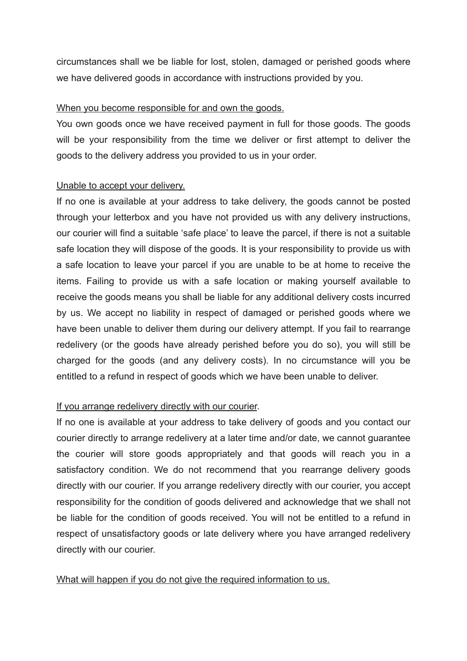circumstances shall we be liable for lost, stolen, damaged or perished goods where we have delivered goods in accordance with instructions provided by you.

### When you become responsible for and own the goods.

You own goods once we have received payment in full for those goods. The goods will be your responsibility from the time we deliver or first attempt to deliver the goods to the delivery address you provided to us in your order.

### Unable to accept your delivery.

If no one is available at your address to take delivery, the goods cannot be posted through your letterbox and you have not provided us with any delivery instructions, our courier will find a suitable 'safe place' to leave the parcel, if there is not a suitable safe location they will dispose of the goods. It is your responsibility to provide us with a safe location to leave your parcel if you are unable to be at home to receive the items. Failing to provide us with a safe location or making yourself available to receive the goods means you shall be liable for any additional delivery costs incurred by us. We accept no liability in respect of damaged or perished goods where we have been unable to deliver them during our delivery attempt. If you fail to rearrange redelivery (or the goods have already perished before you do so), you will still be charged for the goods (and any delivery costs). In no circumstance will you be entitled to a refund in respect of goods which we have been unable to deliver.

## If you arrange redelivery directly with our courier.

If no one is available at your address to take delivery of goods and you contact our courier directly to arrange redelivery at a later time and/or date, we cannot guarantee the courier will store goods appropriately and that goods will reach you in a satisfactory condition. We do not recommend that you rearrange delivery goods directly with our courier. If you arrange redelivery directly with our courier, you accept responsibility for the condition of goods delivered and acknowledge that we shall not be liable for the condition of goods received. You will not be entitled to a refund in respect of unsatisfactory goods or late delivery where you have arranged redelivery directly with our courier.

#### What will happen if you do not give the required information to us.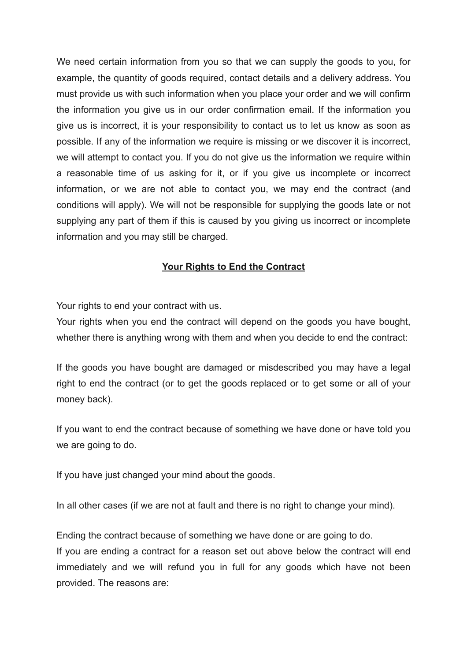We need certain information from you so that we can supply the goods to you, for example, the quantity of goods required, contact details and a delivery address. You must provide us with such information when you place your order and we will confirm the information you give us in our order confirmation email. If the information you give us is incorrect, it is your responsibility to contact us to let us know as soon as possible. If any of the information we require is missing or we discover it is incorrect, we will attempt to contact you. If you do not give us the information we require within a reasonable time of us asking for it, or if you give us incomplete or incorrect information, or we are not able to contact you, we may end the contract (and conditions will apply). We will not be responsible for supplying the goods late or not supplying any part of them if this is caused by you giving us incorrect or incomplete information and you may still be charged.

# **Your Rights to End the Contract**

### Your rights to end your contract with us.

Your rights when you end the contract will depend on the goods you have bought, whether there is anything wrong with them and when you decide to end the contract:

If the goods you have bought are damaged or misdescribed you may have a legal right to end the contract (or to get the goods replaced or to get some or all of your money back).

If you want to end the contract because of something we have done or have told you we are going to do.

If you have just changed your mind about the goods.

In all other cases (if we are not at fault and there is no right to change your mind).

Ending the contract because of something we have done or are going to do. If you are ending a contract for a reason set out above below the contract will end immediately and we will refund you in full for any goods which have not been provided. The reasons are: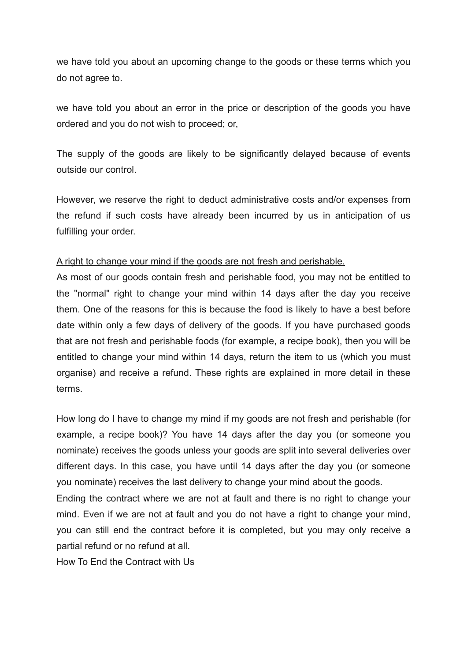we have told you about an upcoming change to the goods or these terms which you do not agree to.

we have told you about an error in the price or description of the goods you have ordered and you do not wish to proceed; or,

The supply of the goods are likely to be significantly delayed because of events outside our control.

However, we reserve the right to deduct administrative costs and/or expenses from the refund if such costs have already been incurred by us in anticipation of us fulfilling your order.

### A right to change your mind if the goods are not fresh and perishable.

As most of our goods contain fresh and perishable food, you may not be entitled to the "normal" right to change your mind within 14 days after the day you receive them. One of the reasons for this is because the food is likely to have a best before date within only a few days of delivery of the goods. If you have purchased goods that are not fresh and perishable foods (for example, a recipe book), then you will be entitled to change your mind within 14 days, return the item to us (which you must organise) and receive a refund. These rights are explained in more detail in these terms.

How long do I have to change my mind if my goods are not fresh and perishable (for example, a recipe book)? You have 14 days after the day you (or someone you nominate) receives the goods unless your goods are split into several deliveries over different days. In this case, you have until 14 days after the day you (or someone you nominate) receives the last delivery to change your mind about the goods.

Ending the contract where we are not at fault and there is no right to change your mind. Even if we are not at fault and you do not have a right to change your mind, you can still end the contract before it is completed, but you may only receive a partial refund or no refund at all.

How To End the Contract with Us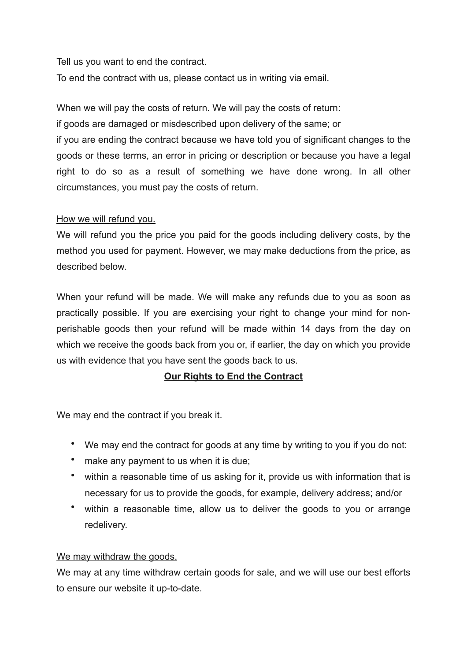Tell us you want to end the contract.

To end the contract with us, please contact us in writing via email.

When we will pay the costs of return. We will pay the costs of return: if goods are damaged or misdescribed upon delivery of the same; or if you are ending the contract because we have told you of significant changes to the goods or these terms, an error in pricing or description or because you have a legal right to do so as a result of something we have done wrong. In all other circumstances, you must pay the costs of return.

## How we will refund you.

We will refund you the price you paid for the goods including delivery costs, by the method you used for payment. However, we may make deductions from the price, as described below.

When your refund will be made. We will make any refunds due to you as soon as practically possible. If you are exercising your right to change your mind for nonperishable goods then your refund will be made within 14 days from the day on which we receive the goods back from you or, if earlier, the day on which you provide us with evidence that you have sent the goods back to us.

## **Our Rights to End the Contract**

We may end the contract if you break it.

- We may end the contract for goods at any time by writing to you if you do not:
- make any payment to us when it is due;
- within a reasonable time of us asking for it, provide us with information that is necessary for us to provide the goods, for example, delivery address; and/or
- within a reasonable time, allow us to deliver the goods to you or arrange redelivery.

#### We may withdraw the goods.

We may at any time withdraw certain goods for sale, and we will use our best efforts to ensure our website it up-to-date.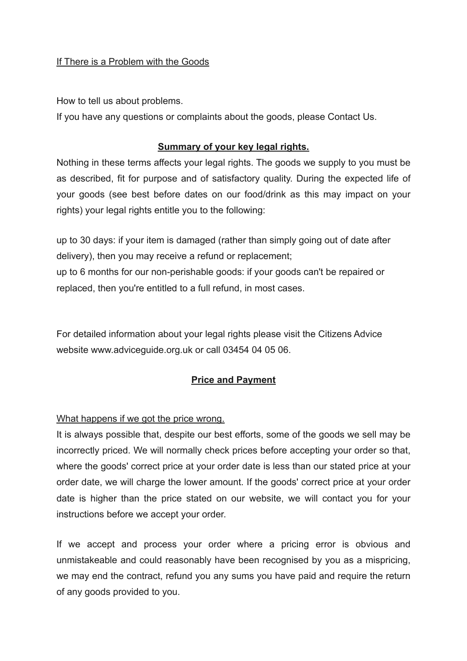## If There is a Problem with the Goods

How to tell us about problems.

If you have any questions or complaints about the goods, please Contact Us.

# **Summary of your key legal rights.**

Nothing in these terms affects your legal rights. The goods we supply to you must be as described, fit for purpose and of satisfactory quality. During the expected life of your goods (see best before dates on our food/drink as this may impact on your rights) your legal rights entitle you to the following:

up to 30 days: if your item is damaged (rather than simply going out of date after delivery), then you may receive a refund or replacement; up to 6 months for our non-perishable goods: if your goods can't be repaired or replaced, then you're entitled to a full refund, in most cases.

For detailed information about your legal rights please visit the Citizens Advice website www.adviceguide.org.uk or call 03454 04 05 06.

## **Price and Payment**

What happens if we got the price wrong.

It is always possible that, despite our best efforts, some of the goods we sell may be incorrectly priced. We will normally check prices before accepting your order so that, where the goods' correct price at your order date is less than our stated price at your order date, we will charge the lower amount. If the goods' correct price at your order date is higher than the price stated on our website, we will contact you for your instructions before we accept your order.

If we accept and process your order where a pricing error is obvious and unmistakeable and could reasonably have been recognised by you as a mispricing, we may end the contract, refund you any sums you have paid and require the return of any goods provided to you.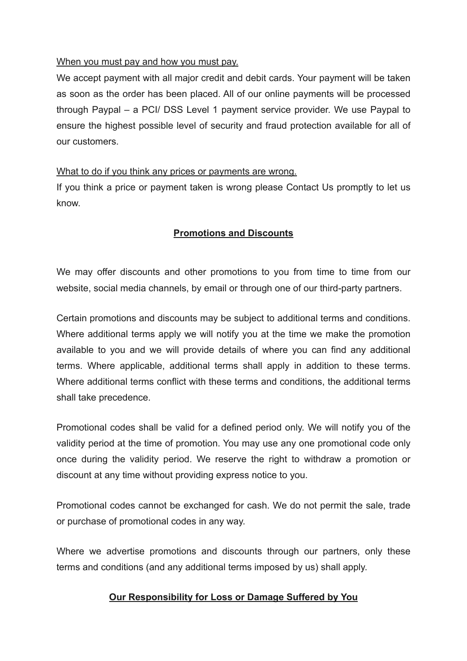### When you must pay and how you must pay.

We accept payment with all major credit and debit cards. Your payment will be taken as soon as the order has been placed. All of our online payments will be processed through Paypal – a PCI/ DSS Level 1 payment service provider. We use Paypal to ensure the highest possible level of security and fraud protection available for all of our customers.

### What to do if you think any prices or payments are wrong.

If you think a price or payment taken is wrong please Contact Us promptly to let us know.

## **Promotions and Discounts**

We may offer discounts and other promotions to you from time to time from our website, social media channels, by email or through one of our third-party partners.

Certain promotions and discounts may be subject to additional terms and conditions. Where additional terms apply we will notify you at the time we make the promotion available to you and we will provide details of where you can find any additional terms. Where applicable, additional terms shall apply in addition to these terms. Where additional terms conflict with these terms and conditions, the additional terms shall take precedence.

Promotional codes shall be valid for a defined period only. We will notify you of the validity period at the time of promotion. You may use any one promotional code only once during the validity period. We reserve the right to withdraw a promotion or discount at any time without providing express notice to you.

Promotional codes cannot be exchanged for cash. We do not permit the sale, trade or purchase of promotional codes in any way.

Where we advertise promotions and discounts through our partners, only these terms and conditions (and any additional terms imposed by us) shall apply.

## **Our Responsibility for Loss or Damage Suffered by You**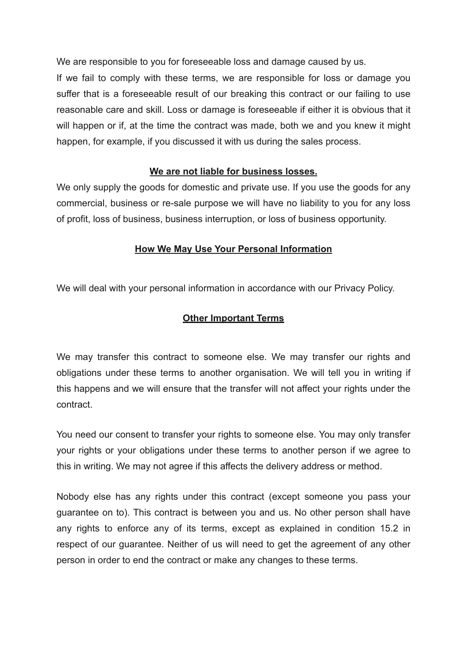We are responsible to you for foreseeable loss and damage caused by us.

If we fail to comply with these terms, we are responsible for loss or damage you suffer that is a foreseeable result of our breaking this contract or our failing to use reasonable care and skill. Loss or damage is foreseeable if either it is obvious that it will happen or if, at the time the contract was made, both we and you knew it might happen, for example, if you discussed it with us during the sales process.

## **We are not liable for business losses.**

We only supply the goods for domestic and private use. If you use the goods for any commercial, business or re-sale purpose we will have no liability to you for any loss of profit, loss of business, business interruption, or loss of business opportunity.

### **How We May Use Your Personal Information**

We will deal with your personal information in accordance with our Privacy Policy.

### **Other Important Terms**

We may transfer this contract to someone else. We may transfer our rights and obligations under these terms to another organisation. We will tell you in writing if this happens and we will ensure that the transfer will not affect your rights under the contract.

You need our consent to transfer your rights to someone else. You may only transfer your rights or your obligations under these terms to another person if we agree to this in writing. We may not agree if this affects the delivery address or method.

Nobody else has any rights under this contract (except someone you pass your guarantee on to). This contract is between you and us. No other person shall have any rights to enforce any of its terms, except as explained in condition 15.2 in respect of our guarantee. Neither of us will need to get the agreement of any other person in order to end the contract or make any changes to these terms.